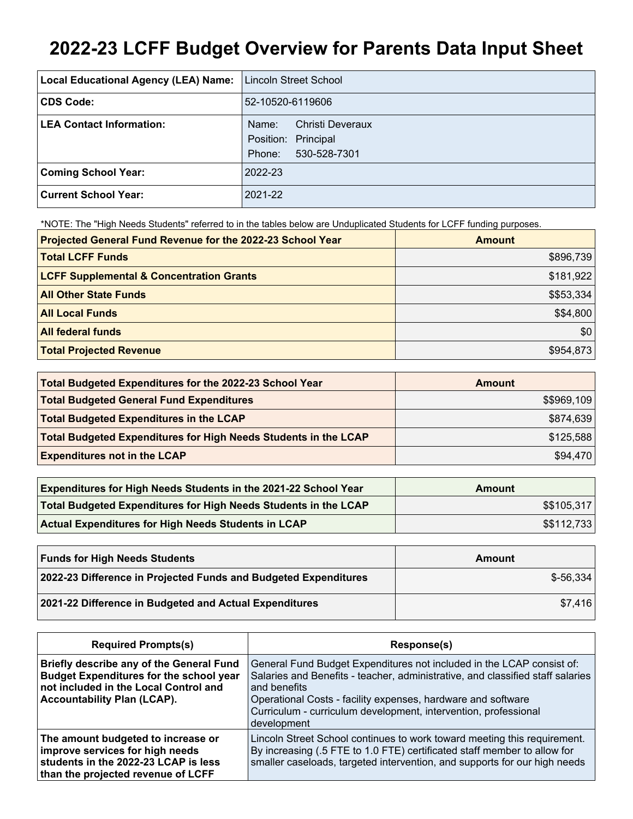# **2022-23 LCFF Budget Overview for Parents Data Input Sheet**

| Local Educational Agency (LEA) Name: | Lincoln Street School                                                             |
|--------------------------------------|-----------------------------------------------------------------------------------|
| <b>CDS Code:</b>                     | 52-10520-6119606                                                                  |
| <b>LEA Contact Information:</b>      | <b>Christi Deveraux</b><br>Name:<br>Position: Principal<br>530-528-7301<br>Phone: |
| <b>Coming School Year:</b>           | 2022-23                                                                           |
| Current School Year:                 | 2021-22                                                                           |

\*NOTE: The "High Needs Students" referred to in the tables below are Unduplicated Students for LCFF funding purposes.

| Projected General Fund Revenue for the 2022-23 School Year | <b>Amount</b> |
|------------------------------------------------------------|---------------|
| <b>Total LCFF Funds</b>                                    | \$896,739     |
| <b>LCFF Supplemental &amp; Concentration Grants</b>        | \$181,922     |
| <b>All Other State Funds</b>                               | \$\$53,334    |
| <b>All Local Funds</b>                                     | \$\$4,800     |
| <b>All federal funds</b>                                   | \$0           |
| <b>Total Projected Revenue</b>                             | \$954,873     |

| Total Budgeted Expenditures for the 2022-23 School Year         | Amount      |
|-----------------------------------------------------------------|-------------|
| <b>Total Budgeted General Fund Expenditures</b>                 | \$\$969,109 |
| <b>Total Budgeted Expenditures in the LCAP</b>                  | \$874,639   |
| Total Budgeted Expenditures for High Needs Students in the LCAP | \$125,588   |
| <b>Expenditures not in the LCAP</b>                             | \$94,470    |

| <b>Expenditures for High Needs Students in the 2021-22 School Year</b> | Amount      |
|------------------------------------------------------------------------|-------------|
| Total Budgeted Expenditures for High Needs Students in the LCAP        | \$\$105,317 |
| <b>Actual Expenditures for High Needs Students in LCAP</b>             | \$\$112,733 |

| <b>Funds for High Needs Students</b>                            | Amount     |
|-----------------------------------------------------------------|------------|
| 2022-23 Difference in Projected Funds and Budgeted Expenditures | $$-56.334$ |
| 2021-22 Difference in Budgeted and Actual Expenditures          | \$7.416    |

| <b>Required Prompts(s)</b>                                                                                                                                                | Response(s)                                                                                                                                                                                                                                                                                                               |
|---------------------------------------------------------------------------------------------------------------------------------------------------------------------------|---------------------------------------------------------------------------------------------------------------------------------------------------------------------------------------------------------------------------------------------------------------------------------------------------------------------------|
| Briefly describe any of the General Fund<br><b>Budget Expenditures for the school year</b><br>not included in the Local Control and<br><b>Accountability Plan (LCAP).</b> | General Fund Budget Expenditures not included in the LCAP consist of:<br>Salaries and Benefits - teacher, administrative, and classified staff salaries<br>and benefits<br>Operational Costs - facility expenses, hardware and software<br>Curriculum - curriculum development, intervention, professional<br>development |
| The amount budgeted to increase or<br>improve services for high needs<br>students in the 2022-23 LCAP is less<br>than the projected revenue of LCFF                       | Lincoln Street School continues to work toward meeting this requirement.<br>By increasing (.5 FTE to 1.0 FTE) certificated staff member to allow for<br>smaller caseloads, targeted intervention, and supports for our high needs                                                                                         |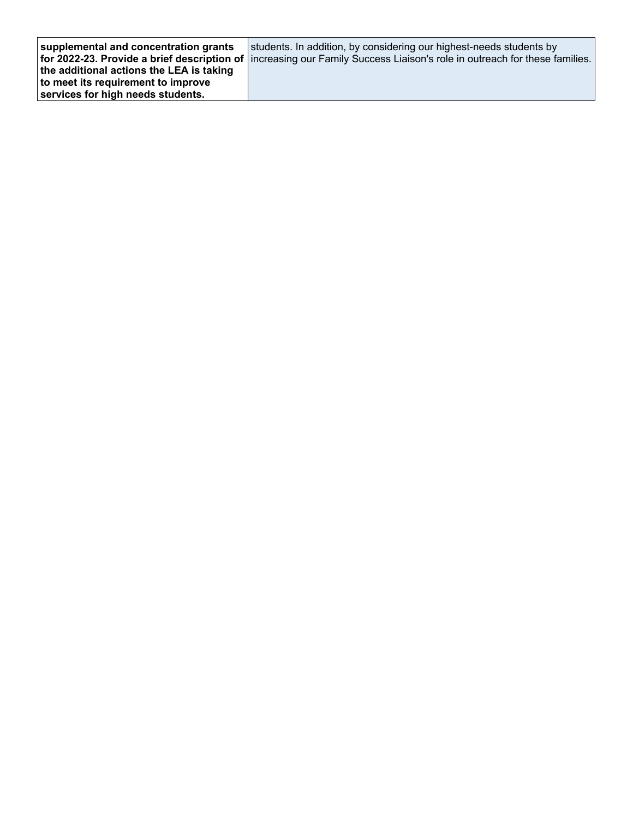| supplemental and concentration grants    | students. In addition, by considering our highest-needs students by                                                      |
|------------------------------------------|--------------------------------------------------------------------------------------------------------------------------|
|                                          | for 2022-23. Provide a brief description of increasing our Family Success Liaison's role in outreach for these families. |
| the additional actions the LEA is taking |                                                                                                                          |
| to meet its requirement to improve       |                                                                                                                          |
| services for high needs students.        |                                                                                                                          |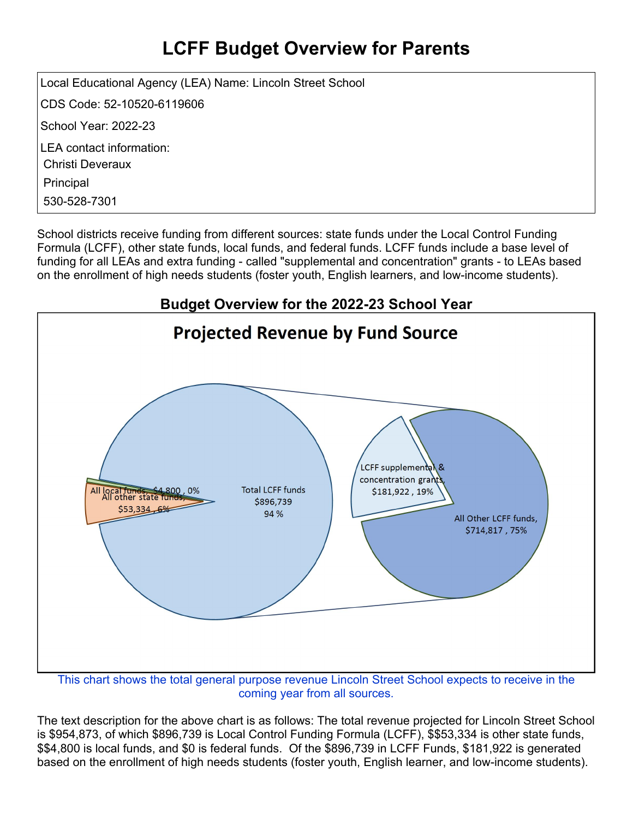## **LCFF Budget Overview for Parents**

Local Educational Agency (LEA) Name: Lincoln Street School CDS Code: 52-10520-6119606 School Year: 2022-23 LEA contact information: Christi Deveraux Principal 530-528-7301

School districts receive funding from different sources: state funds under the Local Control Funding Formula (LCFF), other state funds, local funds, and federal funds. LCFF funds include a base level of funding for all LEAs and extra funding - called "supplemental and concentration" grants - to LEAs based on the enrollment of high needs students (foster youth, English learners, and low-income students).



coming year from all sources.

The text description for the above chart is as follows: The total revenue projected for Lincoln Street School is \$954,873, of which \$896,739 is Local Control Funding Formula (LCFF), \$\$53,334 is other state funds, \$\$4,800 is local funds, and \$0 is federal funds. Of the \$896,739 in LCFF Funds, \$181,922 is generated based on the enrollment of high needs students (foster youth, English learner, and low-income students).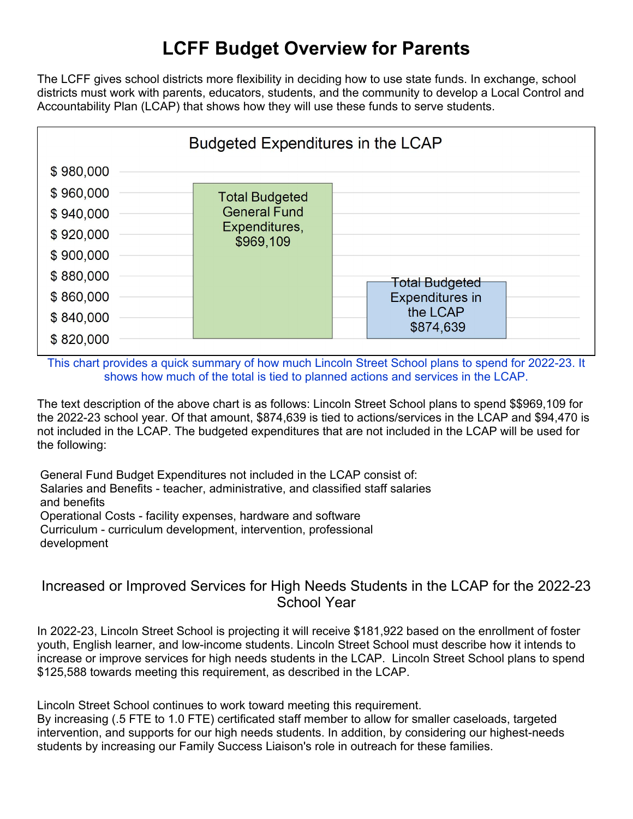### **LCFF Budget Overview for Parents**

The LCFF gives school districts more flexibility in deciding how to use state funds. In exchange, school districts must work with parents, educators, students, and the community to develop a Local Control and Accountability Plan (LCAP) that shows how they will use these funds to serve students.



This chart provides a quick summary of how much Lincoln Street School plans to spend for 2022-23. It shows how much of the total is tied to planned actions and services in the LCAP.

The text description of the above chart is as follows: Lincoln Street School plans to spend \$\$969,109 for the 2022-23 school year. Of that amount, \$874,639 is tied to actions/services in the LCAP and \$94,470 is not included in the LCAP. The budgeted expenditures that are not included in the LCAP will be used for the following:

General Fund Budget Expenditures not included in the LCAP consist of: Salaries and Benefits - teacher, administrative, and classified staff salaries and benefits Operational Costs - facility expenses, hardware and software Curriculum - curriculum development, intervention, professional development

#### Increased or Improved Services for High Needs Students in the LCAP for the 2022-23 School Year

In 2022-23, Lincoln Street School is projecting it will receive \$181,922 based on the enrollment of foster youth, English learner, and low-income students. Lincoln Street School must describe how it intends to increase or improve services for high needs students in the LCAP. Lincoln Street School plans to spend \$125,588 towards meeting this requirement, as described in the LCAP.

Lincoln Street School continues to work toward meeting this requirement.

By increasing (.5 FTE to 1.0 FTE) certificated staff member to allow for smaller caseloads, targeted intervention, and supports for our high needs students. In addition, by considering our highest-needs students by increasing our Family Success Liaison's role in outreach for these families.